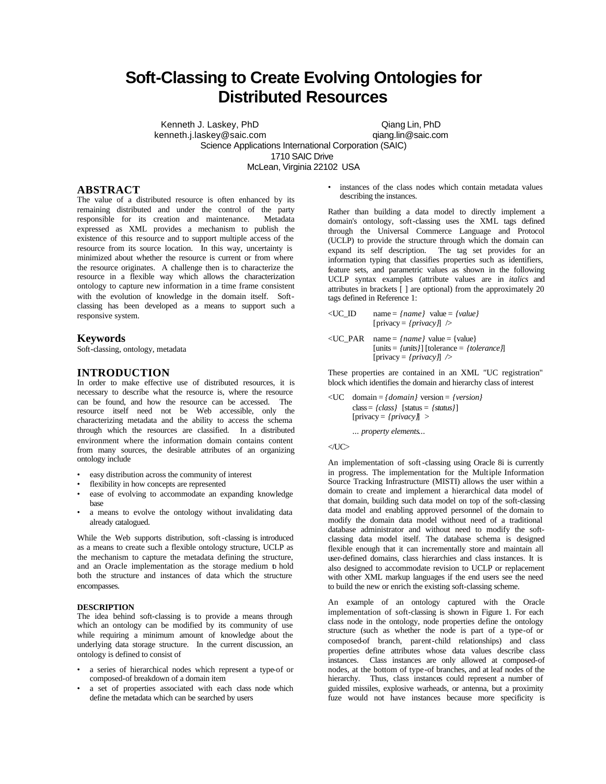# **Soft-Classing to Create Evolving Ontologies for Distributed Resources**

Kenneth J. Laskey, PhD Qiang Lin, PhD kenneth.j.laskey@saic.com qiang.lin@saic.com Science Applications International Corporation (SAIC) 1710 SAIC Drive McLean, Virginia 22102 USA

# **ABSTRACT**

The value of a distributed resource is often enhanced by its remaining distributed and under the control of the party responsible for its creation and maintenance. Metadata expressed as XML provides a mechanism to publish the existence of this resource and to support multiple access of the resource from its source location. In this way, uncertainty is minimized about whether the resource is current or from where the resource originates. A challenge then is to characterize the resource in a flexible way which allows the characterization ontology to capture new information in a time frame consistent with the evolution of knowledge in the domain itself. Softclassing has been developed as a means to support such a responsive system.

## **Keywords**

Soft-classing, ontology, metadata

# **INTRODUCTION**

In order to make effective use of distributed resources, it is necessary to describe what the resource is, where the resource can be found, and how the resource can be accessed. The resource itself need not be Web accessible, only the characterizing metadata and the ability to access the schema through which the resources are classified. In a distributed environment where the information domain contains content from many sources, the desirable attributes of an organizing ontology include

- easy distribution across the community of interest
- flexibility in how concepts are represented
- ease of evolving to accommodate an expanding knowledge base
- a means to evolve the ontology without invalidating data already catalogued.

While the Web supports distribution, soft-classing is introduced as a means to create such a flexible ontology structure, UCLP as the mechanism to capture the metadata defining the structure, and an Oracle implementation as the storage medium to hold both the structure and instances of data which the structure encompasses.

#### **DESCRIPTION**

The idea behind soft-classing is to provide a means through which an ontology can be modified by its community of use while requiring a minimum amount of knowledge about the underlying data storage structure. In the current discussion, an ontology is defined to consist of

- a series of hierarchical nodes which represent a type-of or composed-of breakdown of a domain item
- a set of properties associated with each class node which define the metadata which can be searched by users

instances of the class nodes which contain metadata values describing the instances.

Rather than building a data model to directly implement a domain's ontology, soft-classing uses the XML tags defined through the Universal Commerce Language and Protocol (UCLP) to provide the structure through which the domain can expand its self description. The tag set provides for an information typing that classifies properties such as identifiers, feature sets, and parametric values as shown in the following UCLP syntax examples (attribute values are in *italics* and attributes in brackets [ ] are optional) from the approximately 20 tags defined in Reference 1:

- $\langle$ UC\_ID name = *{name}* value = *{value}*  $[\text{privacy} = \{ \text{privacy} \}]$  />
- $\langle$ UC\_PAR name = *{name}* value = {value} [units = *{units}*] [tolerance = *{tolerance}*] [privacy = *{privacy}*] */>*

These properties are contained in an XML "UC registration" block which identifies the domain and hierarchy class of interest

<UC domain = *{domain}* version = *{version}* class = *{class}* [status = *{status}*] [privacy = *{privacy}*] >

... *property elements*...

## $\langle$ UC $>$

An implementation of soft -classing using Oracle 8i is currently in progress. The implementation for the Multiple Information Source Tracking Infrastructure (MISTI) allows the user within a domain to create and implement a hierarchical data model of that domain, building such data model on top of the soft-classing data model and enabling approved personnel of the domain to modify the domain data model without need of a traditional database administrator and without need to modify the softclassing data model itself. The database schema is designed flexible enough that it can incrementally store and maintain all user-defined domains, class hierarchies and class instances. It is also designed to accommodate revision to UCLP or replacement with other XML markup languages if the end users see the need to build the new or enrich the existing soft-classing scheme.

An example of an ontology captured with the Oracle implementation of soft-classing is shown in Figure 1. For each class node in the ontology, node properties define the ontology structure (such as whether the node is part of a type-of or composed-of branch, parent-child relationships) and class properties define attributes whose data values describe class instances. Class instances are only allowed at composed-of nodes, at the bottom of type-of branches, and at leaf nodes of the hierarchy. Thus, class instances could represent a number of guided missiles, explosive warheads, or antenna, but a proximity fuze would not have instances because more specificity is